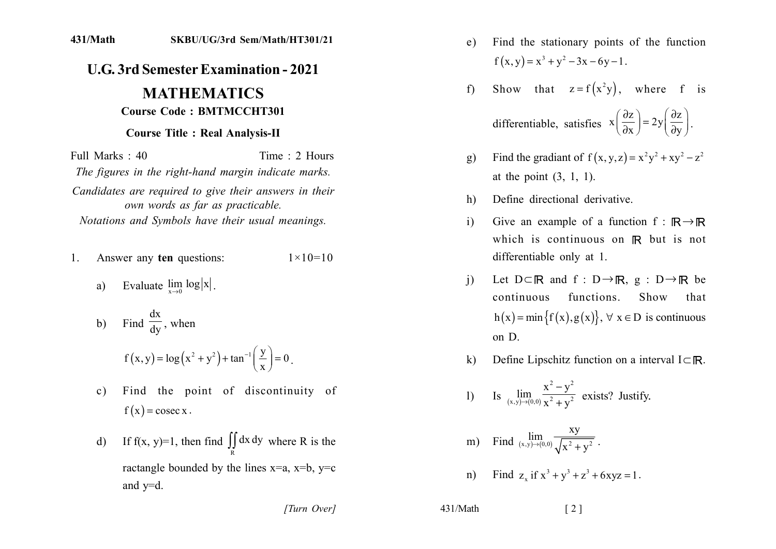## **U.G. 3rd Semester Examination - 2021**

## **MATHEMATICS Course Code: BMTMCCHT301**

## **Course Title: Real Analysis-II**

Time  $\cdot$  2 Hours Full Marks: 40

The figures in the right-hand margin indicate marks.

Candidates are required to give their answers in their own words as far as practicable. Notations and Symbols have their usual meanings.

- Answer any ten questions:  $1 \times 10 = 10$  $1$ 
	- a) Evaluate  $\lim_{x\to 0} \log |x|$ .

b) Find 
$$
\frac{dx}{dy}
$$
, when  
\n $f(x,y) = \log(x^2 + y^2) + \tan^{-1}(\frac{y}{x}) = 0$ 

- Find the point of discontinuity of  $c)$  $f(x) = \csc x$ .
- If f(x, y)=1, then find  $\iint_S dx dy$  where R is the  $d$ ractangle bounded by the lines  $x=a$ ,  $x=b$ ,  $y=c$ and  $y=d$ .

[Turn Over]

- Find the stationary points of the function  $e)$  $f(x, y) = x^3 + y^2 - 3x - 6y - 1$ .
- Show that  $z = f(x^2y)$ , where f is  $f$ differentiable, satisfies  $x\left(\frac{\partial z}{\partial x}\right) = 2y\left(\frac{\partial z}{\partial y}\right)$ .
- Find the gradiant of  $f(x, y, z) = x^2y^2 + xy^2 z^2$  $g)$ at the point  $(3, 1, 1)$ .
- Define directional derivative.  $h)$
- Give an example of a function  $f : \mathbb{R} \rightarrow \mathbb{R}$  $\mathbf{i}$ which is continuous on R but is not differentiable only at 1.
- Let  $D \subset \mathbb{R}$  and  $f : D \to \mathbb{R}$ ,  $g : D \to \mathbb{R}$  be  $\left(1\right)$ continuous functions. Show that  $h(x) = min{f(x), g(x)}, \forall x \in D$  is continuous on D.
- Define Lipschitz function on a interval  $I \subset \mathbb{R}$ .  $\bf k$

1) Is 
$$
\lim_{(x,y)\to(0,0)} \frac{x^2 - y^2}{x^2 + y^2}
$$
 exists? Justify.

m) Find 
$$
\lim_{(x,y)\to(0,0)} \frac{xy}{\sqrt{x^2 + y^2}}
$$
.

n) Find z, if  $x^3 + y^3 + z^3 + 6xyz = 1$ .

 $431/Math$ 

 $\lceil 2 \rceil$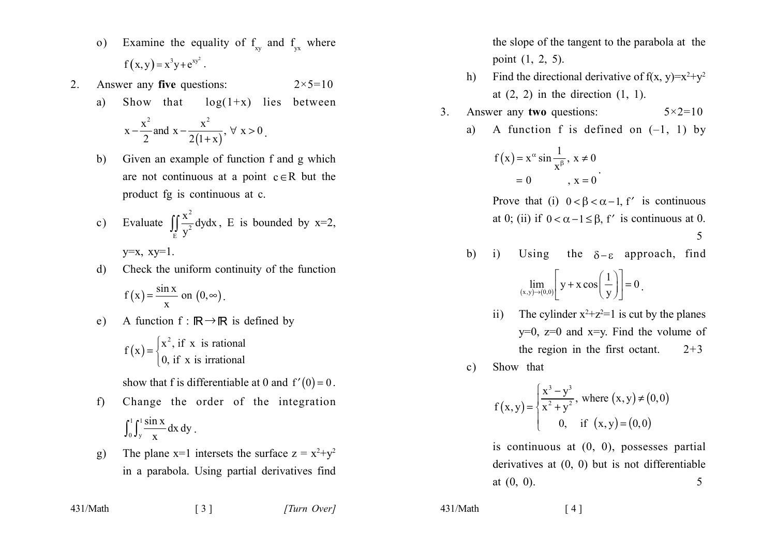- Examine the equality of  $f_{xy}$  and  $f_{yx}$  where  $\Omega$ )  $f(x, y) = x^3y + e^{xy^2}$ .
- 2. Answer any five questions:  $2 \times 5 = 10$ 
	- Show that  $log(1+x)$  lies between a)

$$
x - \frac{x^2}{2}
$$
 and  $x - \frac{x^2}{2(1+x)}$ ,  $\forall x > 0$ .

- $b)$ Given an example of function f and g which are not continuous at a point  $c \in R$  but the product fg is continuous at c.
- Evaluate  $\iint_{S} \frac{x^2}{y^2} dy dx$ , E is bounded by x=2,  $\mathbf{c})$  $y=x$ ,  $xy=1$ .
- Check the uniform continuity of the function d)

$$
f(x) = \frac{\sin x}{x} \text{ on } (0, \infty).
$$

e) A function 
$$
f : \mathbb{R} \to \mathbb{R}
$$
 is defined by

$$
f(x) = \begin{cases} x^2, \text{ if } x \text{ is rational} \\ 0, \text{ if } x \text{ is irrational} \end{cases}
$$

show that f is differentiable at 0 and  $f'(0) = 0$ .

- Change the order of the integration  $f$  $\int_0^1 \int_{v}^1 \frac{\sin x}{x} dx dy$ .
- The plane x=1 intersets the surface  $z = x^2+y^2$  $g)$ in a parabola. Using partial derivatives find

 $\begin{bmatrix} 3 \end{bmatrix}$ 

431/Math

the slope of the tangent to the parabola at the point  $(1, 2, 5)$ .

- Find the directional derivative of  $f(x, y)=x^2+y^2$  $h$ ) at  $(2, 2)$  in the direction  $(1, 1)$ .
- $\overline{3}$ . Answer any two questions:  $5 \times 2 = 10$

a) A function f is defined on 
$$
(-1, 1)
$$
 by

$$
f(x) = x^{\alpha} \sin \frac{1}{x^{\beta}}, x \neq 0
$$
  
= 0, x = 0

Prove that (i)  $0 < \beta < \alpha - 1$ , f' is continuous at 0; (ii) if  $0 < \alpha - 1 \le \beta$ , f' is continuous at 0.

$$
5\,
$$

the  $\delta - \varepsilon$  approach, find  $b)$ Using  $\mathbf{i}$ 

$$
\lim_{(x,y)\to(0,0)} \left[ y + x \cos\left(\frac{1}{y}\right) \right] = 0.
$$

- The cylinder  $x^2+z^2=1$  is cut by the planes  $\overline{11}$  $y=0$ ,  $z=0$  and  $x=y$ . Find the volume of the region in the first octant.  $2 + 3$
- Show that  $\mathbf{c})$

$$
f(x,y) = \begin{cases} \frac{x^3 - y^3}{x^2 + y^2}, \text{ where } (x,y) \neq (0,0) \\ 0, \text{ if } (x,y) = (0,0) \end{cases}
$$

is continuous at  $(0, 0)$ , possesses partial derivatives at  $(0, 0)$  but is not differentiable at  $(0, 0)$ . 5

 $\lceil 4 \rceil$